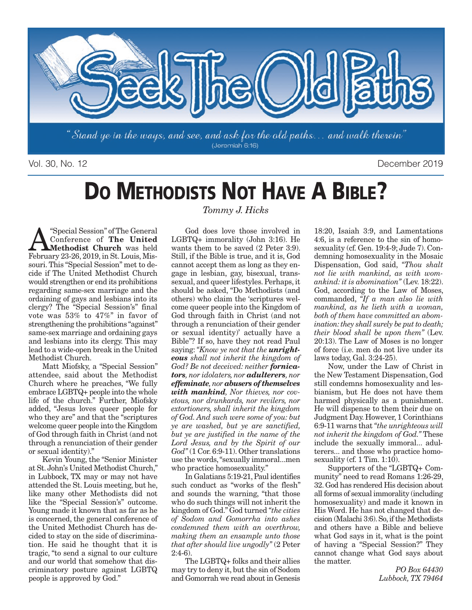

Vol. 30, No. 12 December 2019

# **DO METHODISTS NOT HAVE A BIBLE?**

Special Session" of The General<br>Conference of The United<br>Methodist Church was held<br>Echruary 23.26, 2019 in St Louis Mis-Conference of **The United Methodist Church** was held February 23-26, 2019, in St. Louis, Missouri. This "Special Session" met to decide if The United Methodist Church would strengthen or end its prohibitions regarding same-sex marriage and the ordaining of gays and lesbians into its clergy? The "Special Session's" final vote was 53% to 47%" in favor of strengthening the prohibitions "against" same-sex marriage and ordaining gays and lesbians into its clergy. This may lead to a wide-open break in the United Methodist Church.

Matt Miofsky, a "Special Session" attendee, said about the Methodist Church where he preaches, "We fully embrace LGBTQ+ people into the whole life of the church." Further, Miofsky added, "Jesus loves queer people for who they are" and that the "scriptures welcome queer people into the Kingdom of God through faith in Christ (and not through a renunciation of their gender or sexual identity)."

Kevin Young, the "Senior Minister at St. John's United Methodist Church," in Lubbock, TX may or may not have attended the St. Louis meeting, but he, like many other Methodists did not like the "Special Session's" outcome. Young made it known that as far as he is concerned, the general conference of the United Methodist Church has decided to stay on the side of discrimination. He said he thought that it is tragic, "to send a signal to our culture and our world that somehow that discriminatory posture against LGBTQ people is approved by God."

### *Tommy J. Hicks*

God does love those involved in LGBTQ+ immorality (John 3:16). He wants them to be saved (2 Peter 3:9). Still, if the Bible is true, and it is, God cannot accept them as long as they engage in lesbian, gay, bisexual, transsexual, and queer lifestyles. Perhaps, it should be asked, "Do Methodists (and others) who claim the 'scriptures welcome queer people into the Kingdom of God through faith in Christ (and not through a renunciation of their gender or sexual identity)' actually have a Bible"? If so, have they not read Paul saying: *"Know ye not that the unrighteous shall not inherit the kingdom of God? Be not deceived: neither fornicators, nor idolaters, nor adulterers, nor effeminate, nor abusers of themselves with mankind, Nor thieves, nor covetous, nor drunkards, nor revilers, nor extortioners, shall inherit the kingdom of God. And such were some of you: but ye are washed, but ye are sanctified, but ye are justified in the name of the Lord Jesus, and by the Spirit of our God"* (1 Cor. 6:9-11). Other translations use the words, "sexually immoral...men who practice homosexuality."

In Galatians 5:19-21, Paul identifies such conduct as "works of the flesh" and sounds the warning, "that those who do such things will not inherit the kingdom of God." God turned *"the cities of Sodom and Gomorrha into ashes condemned them with an overthrow, making them an ensample unto those that after should live ungodly"* (2 Peter 2:4-6).

The LGBTQ+ folks and their allies may try to deny it, but the sin of Sodom and Gomorrah we read about in Genesis

18:20, Isaiah 3:9, and Lamentations 4:6, is a reference to the sin of homosexuality (cf. Gen. 19:4-9; Jude 7). Condemning homosexuality in the Mosaic Dispensation, God said, *"Thou shalt not lie with mankind, as with womankind: it is abomination"* (Lev. 18:22). God, according to the Law of Moses, commanded, *"If a man also lie with mankind, as he lieth with a woman, both of them have committed an abomination: they shall surely be put to death; their blood shall be upon them"* (Lev. 20:13). The Law of Moses is no longer of force (i.e. men do not live under its laws today, Gal. 3:24-25).

Now, under the Law of Christ in the New Testament Dispensation, God still condemns homosexuality and lesbianism, but He does not have them harmed physically as a punishment. He will dispense to them their due on Judgment Day. However, 1 Corinthians 6:9-11 warns that *"the unrighteous will not inherit the kingdom of God."* These include the sexually immoral... adulterers... and those who practice homosexuality (cf. 1 Tim. 1:10).

Supporters of the "LGBTQ+ Community" need to read Romans 1:26-29, 32. God has rendered His decision about all forms of sexual immorality (including homosexuality) and made it known in His Word. He has not changed that decision (Malachi 3:6). So, if the Methodists and others have a Bible and believe what God says in it, what is the point of having a "Special Session?" They cannot change what God says about the matter.

> *PO Box 64430 Lubbock, TX 79464*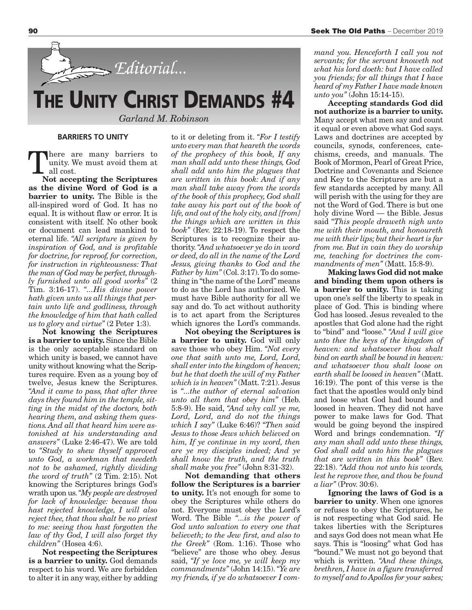

#### **BARRIERS TO UNITY**

There are many barriers to<br>unity. We must avoid them at<br>all cost. unity. We must avoid them at all cost.

**Not accepting the Scriptures as the divine Word of God is a barrier to unity.** The Bible is the all-inspired word of God. It has no equal. It is without flaw or error. It is consistent with itself. No other book or document can lead mankind to eternal life. *"All scripture is given by inspiration of God, and is profitable for doctrine, for reproof, for correction, for instruction in righteousness: That the man of God may be perfect, throughly furnished unto all good works"* (2 Tim. 3:16-17). *"...His divine power hath given unto us all things that pertain unto life and godliness, through the knowledge of him that hath called us to glory and virtue"* (2 Peter 1:3).

**Not knowing the Scriptures is a barrier to unity.** Since the Bible is the only acceptable standard on which unity is based, we cannot have unity without knowing what the Scriptures require. Even as a young boy of twelve, Jesus knew the Scriptures. *"And it came to pass, that after three days they found him in the temple, sitting in the midst of the doctors, both hearing them, and asking them questions. And all that heard him were astonished at his understanding and answers"* (Luke 2:46-47). We are told to *"Study to shew thyself approved unto God, a workman that needeth not to be ashamed, rightly dividing the word of truth"* (2 Tim. 2:15). Not knowing the Scriptures brings God's wrath upon us. *"My people are destroyed for lack of knowledge: because thou hast rejected knowledge, I will also reject thee, that thou shalt be no priest to me: seeing thou hast forgotten the law of thy God, I will also forget thy children"* (Hosea 4:6).

**Not respecting the Scriptures is a barrier to unity.** God demands respect to his word. We are forbidden to alter it in any way, either by adding to it or deleting from it. *"For I testify unto every man that heareth the words of the prophecy of this book, If any man shall add unto these things, God shall add unto him the plagues that are written in this book: And if any man shall take away from the words of the book of this prophecy, God shall take away his part out of the book of life, and out of the holy city, and [from] the things which are written in this book"* (Rev. 22:18-19). To respect the Scriptures is to recognize their authority. *"And whatsoever ye do in word or deed, do all in the name of the Lord Jesus, giving thanks to God and the Father by him"* (Col. 3:17). To do something in "the name of the Lord" means to do as the Lord has authorized. We must have Bible authority for all we say and do. To act without authority is to act apart from the Scriptures which ignores the Lord's commands.

**Not obeying the Scriptures is a barrier to unity.** God will only save those who obey Him. *"Not every one that saith unto me, Lord, Lord, shall enter into the kingdom of heaven; but he that doeth the will of my Father which is in heaven"* (Matt. 7:21). Jesus is *"...the author of eternal salvation unto all them that obey him"* (Heb. 5:8-9). He said, *"And why call ye me, Lord, Lord, and do not the things which I say"* (Luke 6:46)? *"Then said Jesus to those Jews which believed on him, If ye continue in my word, then are ye my disciples indeed; And ye shall know the truth, and the truth shall make you free"* (John 8:31-32).

**Not demanding that others follow the Scriptures is a barrier to unity.** It's not enough for some to obey the Scriptures while others do not. Everyone must obey the Lord's Word. The Bible *"...is the power of God unto salvation to every one that believeth; to the Jew first, and also to the Greek"* (Rom. 1:16). Those who "believe" are those who obey. Jesus said, *"If ye love me, ye will keep my commandments"* (John 14:15). *"Ye are my friends, if ye do whatsoever I com-*

*mand you. Henceforth I call you not servants; for the servant knoweth not what his lord doeth: but I have called you friends; for all things that I have heard of my Father I have made known unto you"* (John 15:14-15).

**Accepting standards God did not authorize is a barrier to unity.** Many accept what men say and count it equal or even above what God says. Laws and doctrines are accepted by councils, synods, conferences, catechisms, creeds, and manuals. The Book of Mormon, Pearl of Great Price, Doctrine and Covenants and Science and Key to the Scriptures are but a few standards accepted by many. All will perish with the using for they are not the Word of God. There is but one holy divine Word — the Bible. Jesus said *"This people draweth nigh unto me with their mouth, and honoureth me with their lips; but their heart is far from me. But in vain they do worship me, teaching for doctrines the commandments of men"* (Matt. 15:8-9).

**Making laws God did not make and binding them upon others is a barrier to unity.** This is taking upon one's self the liberty to speak in place of God. This is binding where God has loosed. Jesus revealed to the apostles that God alone had the right to "bind" and "loose." *"And I will give unto thee the keys of the kingdom of heaven: and whatsoever thou shalt bind on earth shall be bound in heaven: and whatsoever thou shalt loose on earth shall be loosed in heaven"* (Matt. 16:19). The pont of this verse is the fact that the apostles would only bind and loose what God had bound and loosed in heaven. They did not have power to make laws for God. That would be going beyond the inspired Word and brings condemnation. *"If any man shall add unto these things, God shall add unto him the plagues that are written in this book"* (Rev. 22:18). *"Add thou not unto his words, lest he reprove thee, and thou be found a liar"* (Prov. 30:6).

**Ignoring the laws of God is a barrier to unity**. When one ignores or refuses to obey the Scriptures, he is not respecting what God said. He takes liberties with the Scriptures and says God does not mean what He says. This is "loosing" what God has "bound." We must not go beyond that which is written. *"And these things, brethren, I have in a figure transferred to myself and to Apollos for your sakes;*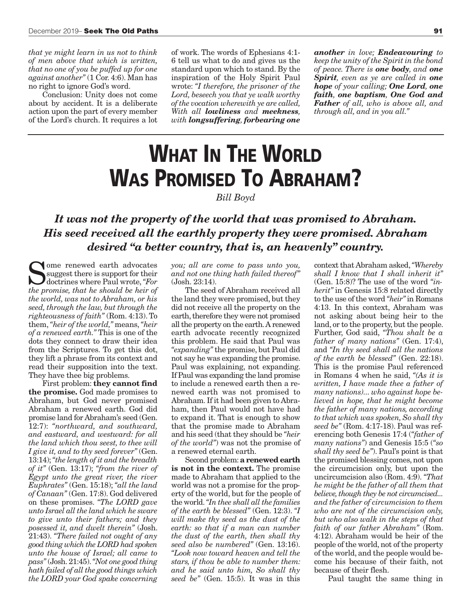*that ye might learn in us not to think of men above that which is written, that no one of you be puffed up for one against another"* (1 Cor. 4:6). Man has no right to ignore God's word.

Conclusion: Unity does not come about by accident. It is a deliberate action upon the part of every member of the Lord's church. It requires a lot of work. The words of Ephesians 4:1- 6 tell us what to do and gives us the standard upon which to stand. By the inspiration of the Holy Spirit Paul wrote: *"I therefore, the prisoner of the Lord, beseech you that ye walk worthy of the vocation wherewith ye are called, With all lowliness and meekness, with longsuffering, forbearing one*

*another in love; Endeavouring to keep the unity of the Spirit in the bond of peace. There is one body, and one Spirit, even as ye are called in one hope of your calling; One Lord, one faith, one baptism, One God and Father of all, who is above all, and through all, and in you all."*

## **WHAT IN THE WORLD WAS PROMISED TO ABRAHAM?**

#### *Bill Boyd*

### *It was not the property of the world that was promised to Abraham. His seed received all the earthly property they were promised. Abraham desired "a better country, that is, an heavenly" country.*

Some renewed earth advocates<br>suggest there is support for their<br>doctrines where Paul wrote, "For<br>the promise that he should be heir of suggest there is support for their doctrines where Paul wrote, *"For the promise, that he should be heir of the world, was not to Abraham, or his seed, through the law, but through the righteousness of faith"* (Rom. 4:13). To them, *"heir of the world,"* means, *"heir of a renewed earth."* This is one of the dots they connect to draw their idea from the Scriptures. To get this dot, they lift a phrase from its context and read their supposition into the text. They have thee big problems.

First problem: **they cannot find the promise.** God made promises to Abraham, but God never promised Abraham a renewed earth. God did promise land for Abraham's seed (Gen. 12:7): *"northward, and southward, and eastward, and westward: for all the land which thou seest, to thee will I give it, and to thy seed forever"* (Gen. 13:14); *"the length of it and the breadth of it"* (Gen. 13:17); *"from the river of Egypt unto the great river, the river Euphrates"* (Gen. 15:18); *"all the land of Canaan"* (Gen. 17:8). God delivered on these promises. *"The LORD gave unto Israel all the land which he sware to give unto their fathers; and they posessed it, and dwelt therein"* (Josh. 21:43). *"There failed not ought of any good thing which the LORD had spoken unto the house of Israel; all came to pass"* (Josh. 21:45). *"Not one good thing hath failed of all the good things which the LORD your God spake concerning*

*you; all are come to pass unto you, and not one thing hath failed thereof"* (Josh. 23:14).

The seed of Abraham received all the land they were promised, but they did not receive all the property on the earth, therefore they were not promised all the property on the earth. A renewed earth advocate recently recognized this problem. He said that Paul was *"expanding"* the promise, but Paul did not say he was expanding the promise. Paul was explaining, not expanding. If Paul was expanding the land promise to include a renewed earth then a renewed earth was not promised to Abraham. If it had been given to Abraham, then Paul would not have had to expand it. That is enough to show that the promise made to Abraham and his seed (that they should be *"heir of the world"*) was not the promise of a renewed eternal earth.

Second problem: **a renewed earth is not in the context.** The promise made to Abraham that applied to the world was not a promise for the property of the world, but for the people of the world. *"In thee shall all the families of the earth be blessed"* (Gen. 12:3). *"I will make thy seed as the dust of the earth: so that if a man can number the dust of the earth, then shall thy seed also be numbered"* (Gen. 13:16). *"Look now toward heaven and tell the stars, if thou be able to number them: and he said unto him, So shall thy seed be"* (Gen. 15:5). It was in this

context that Abraham asked, *"Whereby shall I know that I shall inherit it"* (Gen. 15:8)? The use of the word *"inherit"* in Genesis 15:8 related directly to the use of the word *"heir"* in Romans 4:13. In this context, Abraham was not asking about being heir to the land, or to the property, but the people. Further, God said, *"Thou shalt be a father of many nations"* (Gen. 17:4), and *"In thy seed shall all the nations of the earth be blessed"* (Gen. 22:18). This is the promise Paul referenced in Romans 4 when he said, *"(As it is written, I have made thee a father of many nations)... who against hope believed in hope, that he might become the father of many nations, according to that which was spoken, So shall thy seed be"* (Rom. 4:17-18). Paul was referencing both Genesis 17:4 (*"father of many nations"*) and Genesis 15:5 (*"so shall thy seed be"*). Paul's point is that the promised blessing comes, not upon the circumcision only, but upon the uncircumcision also (Rom. 4:9). *"That he might be the father of all them that believe, though they be not circumcised... and the father of circumcision to them who are not of the circumcision only, but who also walk in the steps of that faith of our father Abraham"* (Rom. 4:12). Abraham would be heir of the people of the world, not of the property of the world, and the people would become his because of their faith, not because of their flesh.

Paul taught the same thing in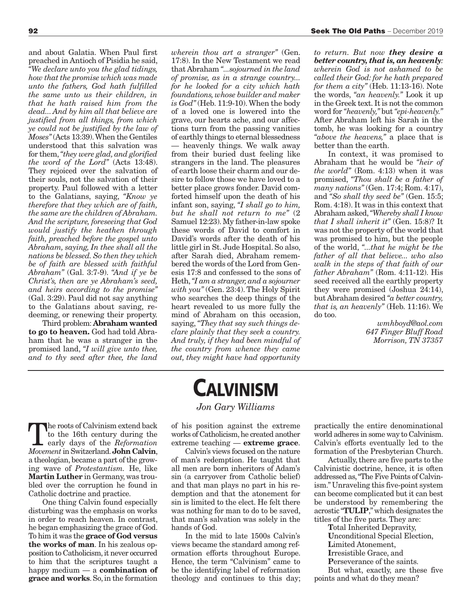and about Galatia. When Paul first preached in Antioch of Pisidia he said, *"We declare unto you the glad tidings, how that the promise which was made unto the fathers, God hath fulfilled the same unto us their children, in that he hath raised him from the dead... And by him all that believe are justified from all things, from which ye could not be justified by the law of Moses"* (Acts 13:39). When the Gentiles understood that this salvation was for them, *"they were glad, and glorified the word of the Lord"* (Acts 13:48). They rejoiced over the salvation of their souls, not the salvation of their property. Paul followed with a letter to the Galatians, saying, *"Know ye therefore that they which are of faith, the same are the children of Abraham. And the scripture, foreseeing that God would justify the heathen through faith, preached before the gospel unto Abraham, saying, In thee shall all the nations be blessed. So then they which be of faith are blessed with faithful Abraham"* (Gal. 3:7-9). *"And if ye be Christ's, then are ye Abraham's seed, and heirs according to the promise"* (Gal. 3:29). Paul did not say anything to the Galatians about saving, redeeming, or renewing their property.

Third problem: **Abraham wanted to go to heaven.** God had told Abraham that he was a stranger in the promised land, *"I will give unto thee, and to thy seed after thee, the land*

*wherein thou art a stranger"* (Gen. 17:8). In the New Testament we read that Abraham *"...sojourned in the land of promise, as in a strange country... for he looked for a city which hath foundations, whose builder and maker is God"* (Heb. 11:9-10). When the body of a loved one is lowered into the grave, our hearts ache, and our affections turn from the passing vanities of earthly things to eternal blessedness — heavenly things. We walk away from their buried dust feeling like strangers in the land. The pleasures of earth loose their charm and our desire to follow those we have loved to a better place grows fonder. David comforted himself upon the death of his infant son, saying, *"I shall go to him, but he shall not return to me"* (2 Samuel 12:23). My father-in-law spoke these words of David to comfort in David's words after the death of his little girl in St. Jude Hospital. So also, after Sarah died, Abraham remembered the words of the Lord from Genesis 17:8 and confessed to the sons of Heth, *"I am a stranger, and a sojourner with you"* (Gen. 23:4). The Holy Spirit who searches the deep things of the heart revealed to us more fully the mind of Abraham on this occasion, saying, *"They that say such things declare plainly that they seek a country. And truly, if they had been mindful of the country from whence they came out, they might have had opportunity*

*to return. But now they desire a better country, that is, an heavenly: wherein God is not ashamed to be called their God: for he hath prepared for them a city"* (Heb. 11:13-16). Note the words, *"an heavenly."* Look it up in the Greek text. It is not the common word for *"heavenly,"* but *"epi-heavenly."* After Abraham left his Sarah in the tomb, he was looking for a country *"above the heavens,"* a place that is better than the earth.

In context, it was promised to Abraham that he would be *"heir of the world"* (Rom. 4:13) when it was promised, *"Thou shalt be a father of many nations"* (Gen. 17:4; Rom. 4:17), and *"So shall thy seed be"* (Gen. 15:5; Rom. 4:18). It was in this context that Abraham asked, *"Whereby shall I know that I shall inherit it"* (Gen. 15:8)? It was not the property of the world that was promised to him, but the people of the world, *"...that he might be the father of all that believe... who also walk in the steps of that faith of our father Abraham"* (Rom. 4:11-12). His seed received all the earthly property they were promised (Joshua 24:14), but Abraham desired *"a better country, that is, an heavenly"* (Heb. 11:16). We do too.

> *wmhboyd@aol.com 647 Finger Bluff Road Morrison, TN 37357*

to the 16th century during the early days of the *Reformation*<br>Movement in Switzerland John Calvin to the 16th century during the *Movement* in Switzerland. **John Calvin**, a theologian, became a part of the growing wave of *Protestantism.* He, like **Martin Luther** in Germany, was troubled over the corruption he found in Catholic doctrine and practice.

One thing Calvin found especially disturbing was the emphasis on works in order to reach heaven. In contrast, he began emphasizing the grace of God. To him it was the **grace of God versus the works of man**. In his zealous opposition to Catholicism, it never occurred to him that the scriptures taught a happy medium — a **combination of grace and works**. So, in the formation

## **CALVINISM**

*Jon Gary Williams*

of his position against the extreme works of Catholicism, he created another extreme teaching — **extreme grace**.

Calvin's views focused on the nature of man's redemption. He taught that all men are born inheritors of Adam's sin (a carryover from Catholic belief) and that man plays no part in his redemption and that the atonement for sin is limited to the elect. He felt there was nothing for man to do to be saved, that man's salvation was solely in the hands of God.

In the mid to late 1500s Calvin's views became the standard among reformation efforts throughout Europe. Hence, the term "Calvinism" came to be the identifying label of reformation theology and continues to this day; practically the entire denominational world adheres in some way to Calvinism. Calvin's efforts eventually led to the formation of the Presbyterian Church.

Actually, there are five parts to the Calvinistic doctrine, hence, it is often addressed as, "The Five Points of Calvinism." Unraveling this five-point system can become complicated but it can best be understood by remembering the acrostic "**TULIP**," which designates the titles of the five parts. They are:

**T**otal Inherited Depravity, **U**nconditional Special Election, **L**imited Atonement, **I**rresistible Grace, and **P**erseverance of the saints. But what, exactly, are these five points and what do they mean?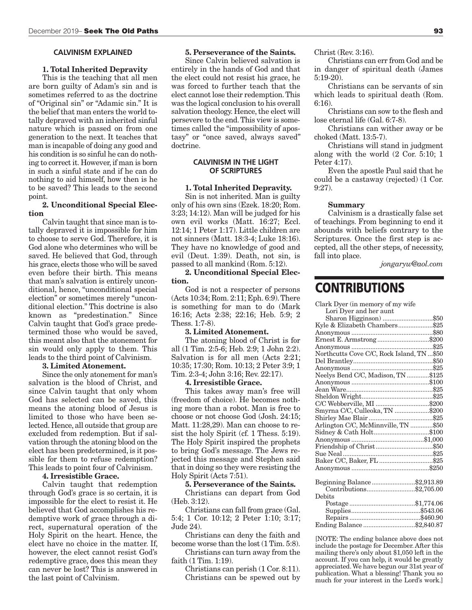#### **CALVINISM EXPLAINED**

#### **1. Total Inherited Depravity**

This is the teaching that all men are born guilty of Adam's sin and is sometimes referred to as the doctrine of "Original sin" or "Adamic sin." It is the belief that man enters the world totally depraved with an inherited sinful nature which is passed on from one generation to the next. It teaches that man is incapable of doing any good and his condition is so sinful he can do nothing to correct it. However, if man is born in such a sinful state and if he can do nothing to aid himself, how then is he to be saved? This leads to the second point.

#### **2. Unconditional Special Election**

Calvin taught that since man is totally depraved it is impossible for him to choose to serve God. Therefore, it is God alone who determines who will be saved. He believed that God, through his grace, elects those who will be saved even before their birth. This means that man's salvation is entirely unconditional, hence, "unconditional special election" or sometimes merely "unconditional election." This doctrine is also known as "predestination." Since Calvin taught that God's grace predetermined those who would be saved, this meant also that the atonement for sin would only apply to them. This leads to the third point of Calvinism.

#### **3. Limited Atonement.**

Since the only atonement for man's salvation is the blood of Christ, and since Calvin taught that only whom God has selected can be saved, this means the atoning blood of Jesus is limited to those who have been selected. Hence, all outside that group are excluded from redemption. But if salvation through the atoning blood on the elect has been predetermined, is it possible for them to refuse redemption? This leads to point four of Calvinism.

#### **4. Irresistible Grace.**

Calvin taught that redemption through God's grace is so certain, it is impossible for the elect to resist it. He believed that God accomplishes his redemptive work of grace through a direct, supernatural operation of the Holy Spirit on the heart. Hence, the elect have no choice in the matter. If, however, the elect cannot resist God's redemptive grace, does this mean they can never be lost? This is answered in the last point of Calvinism.

#### **5. Perseverance of the Saints.**

Since Calvin believed salvation is entirely in the hands of God and that the elect could not resist his grace, he was forced to further teach that the elect cannot lose their redemption. This was the logical conclusion to his overall salvation theology. Hence, the elect will persevere to the end. This view is sometimes called the "impossibility of apostasy" or "once saved, always saved" doctrine.

#### **CALVINISM IN THE LIGHT OF SCRIPTURES**

#### **1. Total Inherited Depravity.**

Sin is not inherited. Man is guilty only of his own sins (Ezek. 18:20; Rom. 3:23; 14:12). Man will be judged for his own evil works (Matt. 16:27; Eccl. 12:14; 1 Peter 1:17). Little children are not sinners (Matt. 18:3-4; Luke 18:16). They have no knowledge of good and evil (Deut. 1:39). Death, not sin, is passed to all mankind (Rom. 5:12).

**2. Unconditional Special Election.**

God is not a respecter of persons (Acts 10:34; Rom. 2:11; Eph. 6:9). There is something for man to do (Mark 16:16; Acts 2:38; 22:16; Heb. 5:9; 2 Thess. 1:7-8).

#### **3. Limited Atonement.**

The atoning blood of Christ is for all (1 Tim. 2:5-6; Heb. 2:9; 1 John 2:2). Salvation is for all men (Acts 2:21; 10:35; 17:30; Rom. 10:13; 2 Peter 3:9; 1 Tim. 2:3-4; John 3:16; Rev. 22:17).

#### **4. Irresistible Grace.**

This takes away man's free will (freedom of choice). He becomes nothing more than a robot. Man is free to choose or not choose God (Josh. 24:15; Matt. 11:28,29). Man can choose to resist the holy Spirit (cf. 1 Thess. 5:19). The Holy Spirit inspired the prophets to bring God's message. The Jews rejected this message and Stephen said that in doing so they were resisting the Holy Spirit (Acts 7:51).

#### **5. Perseverance of the Saints.**

Christians can depart from God (Heb. 3:12).

Christians can fall from grace (Gal. 5:4; 1 Cor. 10:12; 2 Peter 1:10; 3:17; Jude 24).

Christians can deny the faith and become worse than the lost (1 Tim. 5:8).

Christians can turn away from the faith (1 Tim. 1:19).

Christians can perish (1 Cor. 8:11). Christians can be spewed out by Christ (Rev. 3:16).

Christians can err from God and be in danger of spiritual death (James 5:19-20).

Christians can be servants of sin which leads to spiritual death (Rom. 6:16).

Christians can sow to the flesh and lose eternal life (Gal. 6:7-8).

Christians can wither away or be choked (Matt. 13:5-7).

Christians will stand in judgment along with the world (2 Cor. 5:10; 1 Peter 4:17).

Even the apostle Paul said that he could be a castaway (rejected) (1 Cor. 9:27).

#### **Summary**

Calvinism is a drastically false set of teachings. From beginning to end it abounds with beliefs contrary to the Scriptures. Once the first step is accepted, all the other steps, of necessity, fall into place.

*jongaryw@aol.com*

## **CONTRIBUTIONS**

| Clark Dyer (in memory of my wife           |  |
|--------------------------------------------|--|
| Lori Dyer and her aunt                     |  |
| Sharon Higginson) \$50                     |  |
| Kyle & Elizabeth Chambers\$25              |  |
|                                            |  |
| Ernest E. Armstrong\$200                   |  |
|                                            |  |
| Northcutts Cove C/C, Rock Island, TN  \$50 |  |
|                                            |  |
|                                            |  |
| Neelys Bend C/C, Madison, TN \$125         |  |
|                                            |  |
|                                            |  |
|                                            |  |
| C/C Webberville, MI \$200                  |  |
| Smyrna C/C, Culleoka, TN \$200             |  |
|                                            |  |
| Arlington C/C, McMinnville, TN \$50        |  |
| Sidney & Cath Holt\$100                    |  |
|                                            |  |
|                                            |  |
|                                            |  |
|                                            |  |
|                                            |  |
|                                            |  |
| Beginning Balance\$2,913.89                |  |
| Contributions\$2,705.00                    |  |
| Debits                                     |  |
|                                            |  |
|                                            |  |
|                                            |  |
| Ending Balance \$2,840.87                  |  |
|                                            |  |

[NOTE: The ending balance above does not include the postage for December. After this mailing there's only about \$1,050 left in the account. If you can help, it would be greatly appreciated. We have begun our 31st year of publication. What a blessing! Thank you so much for your interest in the Lord's work.]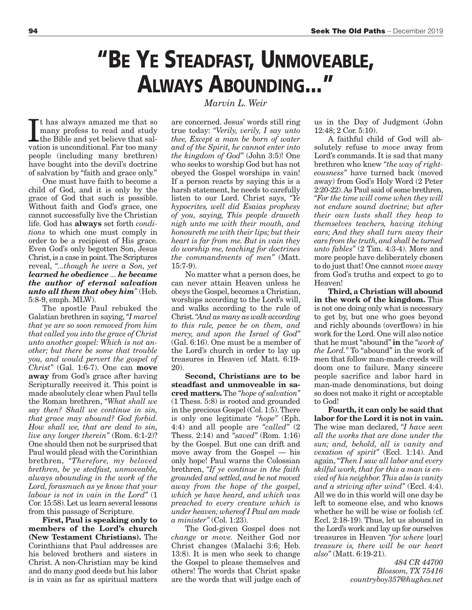## **"BE YE STEADFAST, UNMOVEABLE, ALWAYS ABOUNDING..."**

*Marvin L. Weir*

It has always amazed me that so many profess to read and study<br>the Bible and yet believe that salvation is unconditional. Far too many t has always amazed me that so many profess to read and study the Bible and yet believe that salpeople (including many brethren) have bought into the devil's doctrine of salvation by "faith and grace only."

One must have faith to become a child of God, and it is only by the grace of God that such is possible. Without faith and God's grace, one cannot successfully live the Christian life. God has **always** set forth *conditions* to which one must comply in order to be a recipient of His grace. Even God's only begotten Son, Jesus Christ, is a case in point. The Scriptures reveal, *"...though he were a Son, yet learned he obedience ... he became the author of eternal salvation unto all them that obey him"* (Heb. 5:8-9, emph. MLW).

The apostle Paul rebuked the Galatian brethren in saying, *"I marvel that ye are so soon removed from him that called you into the grace of Christ unto another gospel: Which is not another; but there be some that trouble you, and would pervert the gospel of Christ"* (Gal. 1:6-7). One can **move away** from God's grace after having Scripturally received it. This point is made absolutely clear when Paul tells the Roman brethren, *"What shall we say then? Shall we continue in sin, that grace may abound? God forbid. How shall we, that are dead to sin, live any longer therein"* (Rom. 6:1-2)? One should then not be surprised that Paul would plead with the Corinthian brethren, *"Therefore, my beloved brethren, be ye stedfast, unmoveable, always abounding in the work of the Lord, forasmuch as ye know that your labour is not in vain in the Lord"* (1 Cor. 15:58). Let us learn several lessons from this passage of Scripture.

**First, Paul is speaking only to members of the Lord's church (New Testament Christians).** The Corinthians that Paul addresses are his beloved brothers and sisters in Christ. A non-Christian may be kind and do many good deeds but his labor is in vain as far as spiritual matters

are concerned. Jesus' words still ring true today: *"Verily, verily, I say unto thee, Except a man be born of water and of the Spirit, he cannot enter into the kingdom of God"* (John 3:5)! One who seeks to worship God but has not obeyed the Gospel worships in vain! If a person reacts by saying this is a harsh statement, he needs to carefully listen to our Lord. Christ says, *"Ye hypocrites, well did Esaias prophesy of you, saying, This people draweth nigh unto me with their mouth, and honoureth me with their lips; but their heart is far from me. But in vain they do worship me, teaching for doctrines the commandments of men"* (Matt. 15:7-9).

No matter what a person does, he can never attain Heaven unless he obeys the Gospel, becomes a Christian, worships according to the Lord's will, and walks according to the rule of Christ. *"And as many as walk according to this rule, peace be on them, and mercy, and upon the Israel of God"* (Gal. 6:16). One must be a member of the Lord's church in order to lay up treasures in Heaven (cf. Matt. 6:19- 20).

**Second, Christians are to be steadfast and unmoveable in sacred matters.** The *"hope of salvation"* (1 Thess. 5:8) is rooted and grounded in the precious Gospel (Col. 1:5). There is only one legitimate *"hope"* (Eph. 4:4) and all people are *"called"* (2 Thess. 2:14) and *"saved"* (Rom. 1:16) by the Gospel. But one can drift and move away from the Gospel — his only hope! Paul warns the Colossian brethren, *"If ye continue in the faith grounded and settled, and be not moved away from the hope of the gospel, which ye have heard, and which was preached to every creature which is under heaven; whereof I Paul am made a minister"* (Col. 1:23).

The God-given Gospel does not *change* or *move.* Neither God nor Christ changes (Malachi 3:6; Heb. 13:8). It is men who seek to change the Gospel to please themselves and others! The words that Christ spake are the words that will judge each of us in the Day of Judgment (John 12:48; 2 Cor. 5:10).

A faithful child of God will absolutely refuse to *move* away from Lord's commands. It is sad that many brethren who knew *"the way of righteousness"* have turned back (moved away) from God's Holy Word (2 Peter 2:20-22). As Paul said of some brethren, *"For the time will come when they will not endure sound doctrine; but after their own lusts shall they heap to themselves teachers, having itching ears; And they shall turn away their ears from the truth, and shall be turned unto fables"* (2 Tim. 4:3-4). More and more people have deliberately chosen to do just that! One cannot *move away* from God's truths and expect to go to Heaven!

**Third, a Christian will abound in the work of the kingdom.** This is not one doing only what is necessary to get by, but one who goes beyond and richly abounds (overflows) in his work for the Lord. One will also notice that he must "abound" **in** the *"work of the Lord."* To "abound" in the work of men that follow man-made creeds will doom one to failure. Many sincere people sacrifice and labor hard in man-made denominations, but doing so does not make it right or acceptable to God!

**Fourth, it can only be said that labor for the Lord it is not in vain.** The wise man declared, *"I have seen all the works that are done under the sun; and, behold, all is vanity and vexation of spirit"* (Eccl. 1:14). And again, *"Then I saw all labor and every skilful work, that for this a man is envied of his neighbor. This also is vanity and a striving after wind"* (Eccl. 4:4). All we do in this world will one day be left to someone else, and who knows whether he will be wise or foolish (cf. Eccl. 2:18-19). Thus, let us abound in the Lord's work and lay up for ourselves treasures in Heaven *"for where* [our] *treasure is, there will be our heart also"* (Matt. 6:19-21).

> *484 CR 44700 Blossom, TX 75416 countryboy357@hughes.net*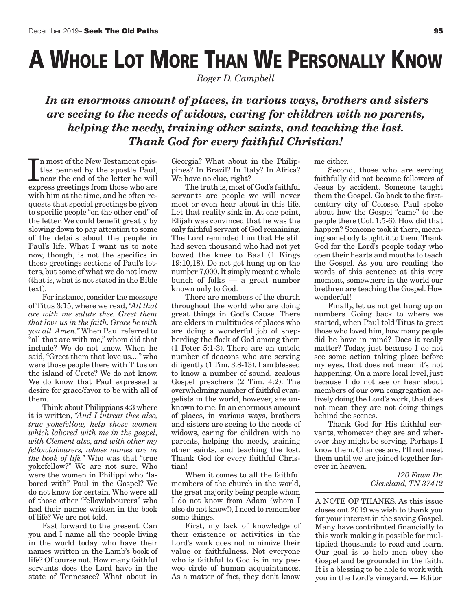# **A WHOLE LOT MORE THAN WE PERSONALLY KNOW**

*Roger D. Campbell*

 *In an enormous amount of places, in various ways, brothers and sisters are seeing to the needs of widows, caring for children with no parents, helping the needy, training other saints, and teaching the lost. Thank God for every faithful Christian!*

In most of the New Testament epis-<br>tles penned by the apostle Paul,<br>near the end of the letter he will<br>express greetings from those who are n most of the New Testament epistles penned by the apostle Paul, near the end of the letter he will with him at the time, and he often requests that special greetings be given to specific people "on the other end" of the letter. We could benefit greatly by slowing down to pay attention to some of the details about the people in Paul's life. What I want us to note now, though, is not the specifics in those greetings sections of Paul's letters, but some of what we do not know (that is, what is not stated in the Bible text).

For instance, consider the message of Titus 3:15, where we read, *"All that are with me salute thee. Greet them that love us in the faith. Grace be with you all. Amen."* When Paul referred to "all that are with me," whom did that include? We do not know. When he said, "Greet them that love us...." who were those people there with Titus on the island of Crete? We do not know. We do know that Paul expressed a desire for grace/favor to be with all of them.

Think about Philippians 4:3 where it is written, *"And I intreat thee also, true yokefellow, help those women which labored with me in the gospel, with Clement also, and with other my fellowlabourers, whose names are in the book of life."* Who was that "true yokefellow?" We are not sure. Who were the women in Philippi who "labored with" Paul in the Gospel? We do not know for certain. Who were all of those other "fellowlabourers" who had their names written in the book of life? We are not told.

Fast forward to the present. Can you and I name all the people living in the world today who have their names written in the Lamb's book of life? Of course not. How many faithful servants does the Lord have in the state of Tennessee? What about in Georgia? What about in the Philippines? In Brazil? In Italy? In Africa? We have no clue, right?

The truth is, most of God's faithful servants are people we will never meet or even hear about in this life. Let that reality sink in. At one point, Elijah was convinced that he was the only faithful servant of God remaining. The Lord reminded him that He still had seven thousand who had not yet bowed the knee to Baal (1 Kings 19:10,18). Do not get hung up on the number 7,000. It simply meant a whole bunch of folks — a great number known only to God.

There are members of the church throughout the world who are doing great things in God's Cause. There are elders in multitudes of places who are doing a wonderful job of shepherding the flock of God among them (1 Peter 5:1-3). There are an untold number of deacons who are serving diligently (1 Tim. 3:8-13). I am blessed to know a number of sound, zealous Gospel preachers (2 Tim. 4:2). The overwhelming number of faithful evangelists in the world, however, are unknown to me. In an enormous amount of places, in various ways, brothers and sisters are seeing to the needs of widows, caring for children with no parents, helping the needy, training other saints, and teaching the lost. Thank God for every faithful Christian!

When it comes to all the faithful members of the church in the world, the great majority being people whom I do not know from Adam (whom I also do not know!), I need to remember some things.

First, my lack of knowledge of their existence or activities in the Lord's work does not minimize their value or faithfulness. Not everyone who is faithful to God is in my peewee circle of human acquaintances. As a matter of fact, they don't know

me either.

Second, those who are serving faithfully did not become followers of Jesus by accident. Someone taught them the Gospel. Go back to the firstcentury city of Colosse. Paul spoke about how the Gospel "came" to the people there (Col. 1:5-6). How did that happen? Someone took it there, meaning somebody taught it to them. Thank God for the Lord's people today who open their hearts and mouths to teach the Gospel. As you are reading the words of this sentence at this very moment, somewhere in the world our brethren are teaching the Gospel. How wonderful!

Finally, let us not get hung up on numbers. Going back to where we started, when Paul told Titus to greet those who loved him, how many people did he have in mind? Does it really matter? Today, just because I do not see some action taking place before my eyes, that does not mean it's not happening. On a more local level, just because I do not see or hear about members of our own congregation actively doing the Lord's work, that does not mean they are not doing things behind the scenes.

Thank God for His faithful servants, whomever they are and wherever they might be serving. Perhaps I know them. Chances are, I'll not meet them until we are joined together forever in heaven.

> *120 Fawn Dr. Cleveland, TN 37412*

A NOTE OF THANKS. As this issue closes out 2019 we wish to thank you for your interest in the saving Gospel. Many have contributed financially to this work making it possible for multiplied thousands to read and learn. Our goal is to help men obey the Gospel and be grounded in the faith. It is a blessing to be able to work with you in the Lord's vineyard. — Editor